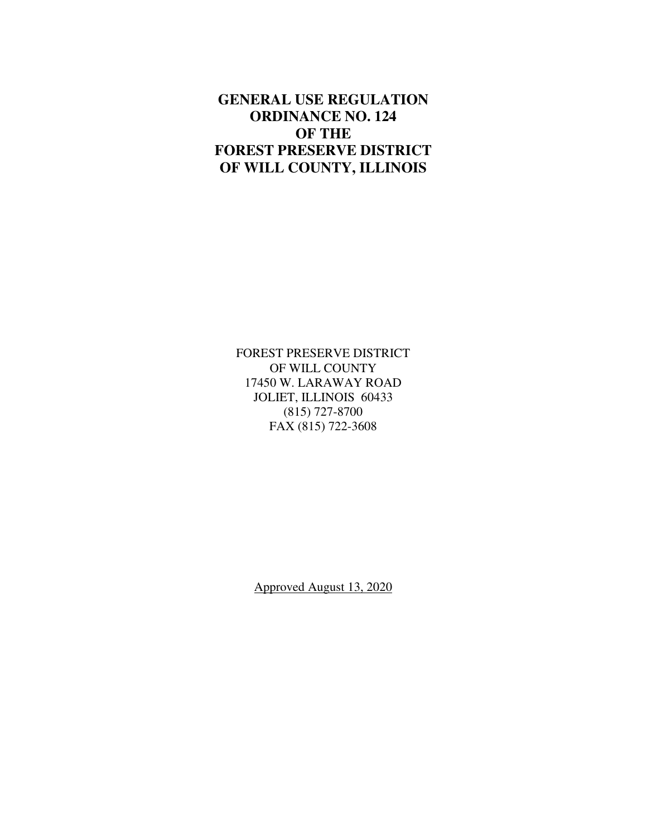# **GENERAL USE REGULATION ORDINANCE NO. 124 OF THE FOREST PRESERVE DISTRICT OF WILL COUNTY, ILLINOIS**

FOREST PRESERVE DISTRICT OF WILL COUNTY 17450 W. LARAWAY ROAD JOLIET, ILLINOIS 60433 (815) 727-8700 FAX (815) 722-3608

Approved August 13, 2020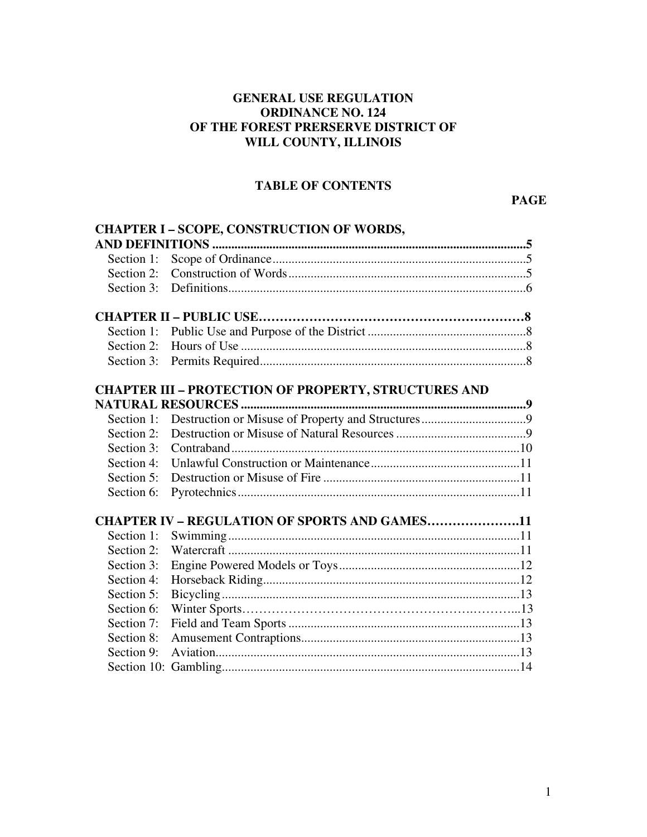# **GENERAL USE REGULATION ORDINANCE NO. 124 OF THE FOREST PRERSERVE DISTRICT OF WILL COUNTY, ILLINOIS**

# **TABLE OF CONTENTS**

**PAGE** 

|            | <b>CHAPTER I - SCOPE, CONSTRUCTION OF WORDS,</b>            |
|------------|-------------------------------------------------------------|
|            |                                                             |
|            |                                                             |
| Section 2: |                                                             |
|            |                                                             |
|            |                                                             |
|            |                                                             |
| Section 2: |                                                             |
|            |                                                             |
|            | <b>CHAPTER III - PROTECTION OF PROPERTY, STRUCTURES AND</b> |
|            |                                                             |
| Section 1: |                                                             |
| Section 2: |                                                             |
| Section 3: |                                                             |
| Section 4: |                                                             |
| Section 5: |                                                             |
| Section 6: |                                                             |
|            | <b>CHAPTER IV - REGULATION OF SPORTS AND GAMES11</b>        |
| Section 1: |                                                             |
| Section 2: |                                                             |
| Section 3: |                                                             |
| Section 4: |                                                             |
| Section 5: |                                                             |
| Section 6: |                                                             |
| Section 7: |                                                             |
| Section 8: |                                                             |
| Section 9: |                                                             |
|            |                                                             |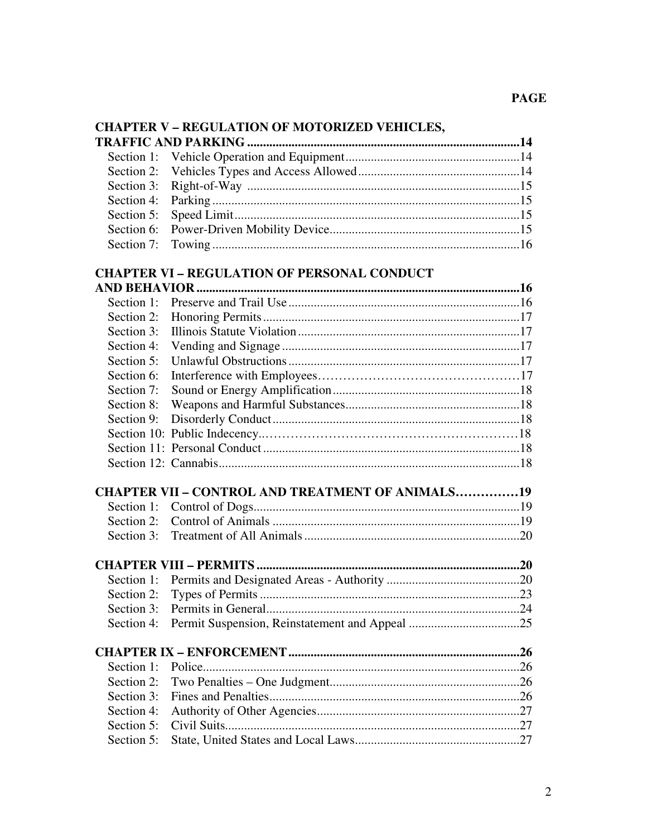| <b>CHAPTER V - REGULATION OF MOTORIZED VEHICLES,</b> |                                                         |  |  |
|------------------------------------------------------|---------------------------------------------------------|--|--|
|                                                      |                                                         |  |  |
| Section 1:                                           |                                                         |  |  |
| Section 2:                                           |                                                         |  |  |
| Section 3:                                           |                                                         |  |  |
| Section 4:                                           |                                                         |  |  |
| Section 5:                                           |                                                         |  |  |
| Section 6:                                           |                                                         |  |  |
| Section 7:                                           |                                                         |  |  |
|                                                      | <b>CHAPTER VI - REGULATION OF PERSONAL CONDUCT</b>      |  |  |
|                                                      |                                                         |  |  |
| Section 1:                                           |                                                         |  |  |
| Section 2:                                           |                                                         |  |  |
| Section 3:                                           |                                                         |  |  |
| Section 4:                                           |                                                         |  |  |
| Section 5:                                           |                                                         |  |  |
| Section 6:                                           |                                                         |  |  |
| Section 7:                                           |                                                         |  |  |
| Section 8:                                           |                                                         |  |  |
| Section 9:                                           |                                                         |  |  |
|                                                      |                                                         |  |  |
|                                                      |                                                         |  |  |
|                                                      |                                                         |  |  |
|                                                      | <b>CHAPTER VII - CONTROL AND TREATMENT OF ANIMALS19</b> |  |  |
| Section 1:                                           |                                                         |  |  |
| Section 2:                                           |                                                         |  |  |
| Section 3:                                           |                                                         |  |  |
|                                                      |                                                         |  |  |
|                                                      |                                                         |  |  |
|                                                      |                                                         |  |  |
| Section 3:                                           |                                                         |  |  |
| Section 4:                                           |                                                         |  |  |
|                                                      |                                                         |  |  |
| Section 1:                                           |                                                         |  |  |
| Section 2:                                           |                                                         |  |  |
| Section 3:                                           |                                                         |  |  |
| Section 4:                                           |                                                         |  |  |
| Section 5:                                           |                                                         |  |  |
|                                                      |                                                         |  |  |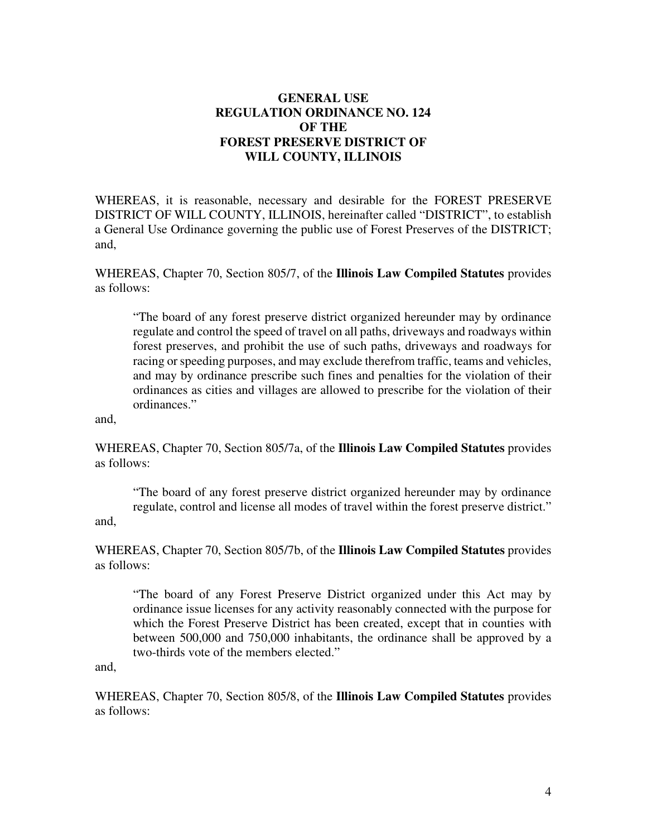# **GENERAL USE REGULATION ORDINANCE NO. 124 OF THE FOREST PRESERVE DISTRICT OF WILL COUNTY, ILLINOIS**

WHEREAS, it is reasonable, necessary and desirable for the FOREST PRESERVE DISTRICT OF WILL COUNTY, ILLINOIS, hereinafter called "DISTRICT", to establish a General Use Ordinance governing the public use of Forest Preserves of the DISTRICT; and,

WHEREAS, Chapter 70, Section 805/7, of the **Illinois Law Compiled Statutes** provides as follows:

"The board of any forest preserve district organized hereunder may by ordinance regulate and control the speed of travel on all paths, driveways and roadways within forest preserves, and prohibit the use of such paths, driveways and roadways for racing or speeding purposes, and may exclude therefrom traffic, teams and vehicles, and may by ordinance prescribe such fines and penalties for the violation of their ordinances as cities and villages are allowed to prescribe for the violation of their ordinances."

and,

WHEREAS, Chapter 70, Section 805/7a, of the **Illinois Law Compiled Statutes** provides as follows:

"The board of any forest preserve district organized hereunder may by ordinance regulate, control and license all modes of travel within the forest preserve district." and,

WHEREAS, Chapter 70, Section 805/7b, of the **Illinois Law Compiled Statutes** provides as follows:

"The board of any Forest Preserve District organized under this Act may by ordinance issue licenses for any activity reasonably connected with the purpose for which the Forest Preserve District has been created, except that in counties with between 500,000 and 750,000 inhabitants, the ordinance shall be approved by a two-thirds vote of the members elected."

and,

WHEREAS, Chapter 70, Section 805/8, of the **Illinois Law Compiled Statutes** provides as follows: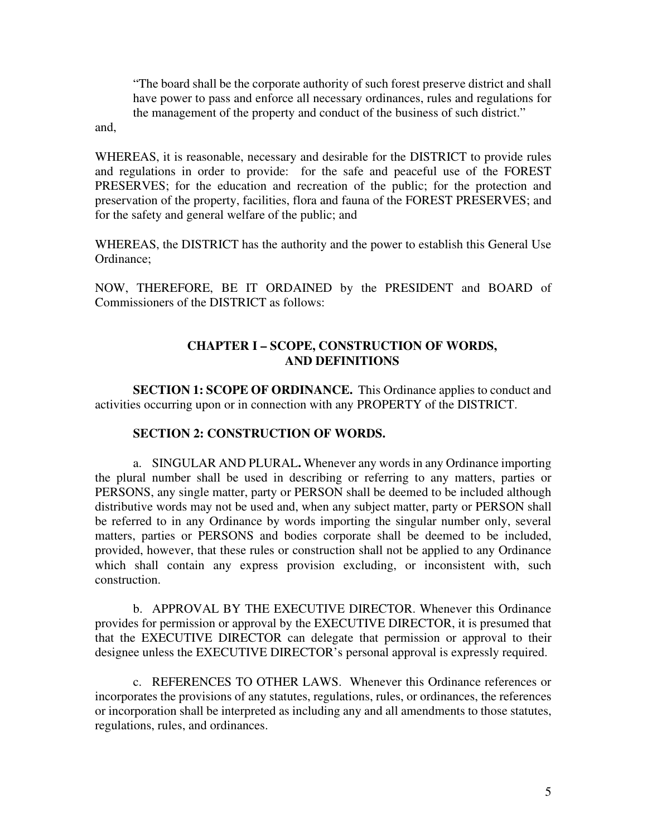"The board shall be the corporate authority of such forest preserve district and shall have power to pass and enforce all necessary ordinances, rules and regulations for the management of the property and conduct of the business of such district."

and,

WHEREAS, it is reasonable, necessary and desirable for the DISTRICT to provide rules and regulations in order to provide: for the safe and peaceful use of the FOREST PRESERVES; for the education and recreation of the public; for the protection and preservation of the property, facilities, flora and fauna of the FOREST PRESERVES; and for the safety and general welfare of the public; and

WHEREAS, the DISTRICT has the authority and the power to establish this General Use Ordinance;

NOW, THEREFORE, BE IT ORDAINED by the PRESIDENT and BOARD of Commissioners of the DISTRICT as follows:

# **CHAPTER I – SCOPE, CONSTRUCTION OF WORDS, AND DEFINITIONS**

**SECTION 1: SCOPE OF ORDINANCE.** This Ordinance applies to conduct and activities occurring upon or in connection with any PROPERTY of the DISTRICT.

## **SECTION 2: CONSTRUCTION OF WORDS.**

a. SINGULAR AND PLURAL**.** Whenever any words in any Ordinance importing the plural number shall be used in describing or referring to any matters, parties or PERSONS, any single matter, party or PERSON shall be deemed to be included although distributive words may not be used and, when any subject matter, party or PERSON shall be referred to in any Ordinance by words importing the singular number only, several matters, parties or PERSONS and bodies corporate shall be deemed to be included, provided, however, that these rules or construction shall not be applied to any Ordinance which shall contain any express provision excluding, or inconsistent with, such construction.

b. APPROVAL BY THE EXECUTIVE DIRECTOR. Whenever this Ordinance provides for permission or approval by the EXECUTIVE DIRECTOR, it is presumed that that the EXECUTIVE DIRECTOR can delegate that permission or approval to their designee unless the EXECUTIVE DIRECTOR's personal approval is expressly required.

c. REFERENCES TO OTHER LAWS. Whenever this Ordinance references or incorporates the provisions of any statutes, regulations, rules, or ordinances, the references or incorporation shall be interpreted as including any and all amendments to those statutes, regulations, rules, and ordinances.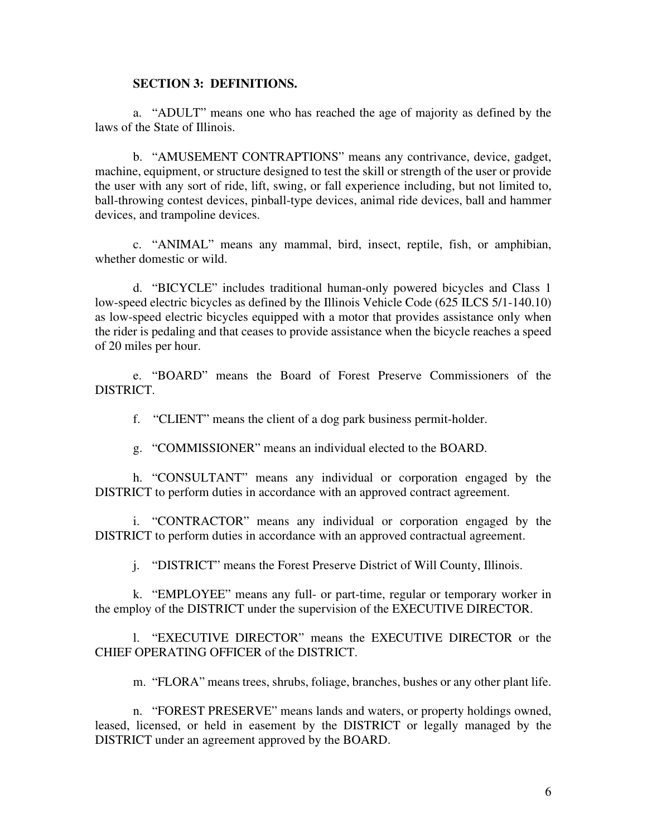#### **SECTION 3: DEFINITIONS.**

a. "ADULT" means one who has reached the age of majority as defined by the laws of the State of Illinois.

b. "AMUSEMENT CONTRAPTIONS" means any contrivance, device, gadget, machine, equipment, or structure designed to test the skill or strength of the user or provide the user with any sort of ride, lift, swing, or fall experience including, but not limited to, ball-throwing contest devices, pinball-type devices, animal ride devices, ball and hammer devices, and trampoline devices.

c. "ANIMAL" means any mammal, bird, insect, reptile, fish, or amphibian, whether domestic or wild.

d. "BICYCLE" includes traditional human-only powered bicycles and Class 1 low-speed electric bicycles as defined by the Illinois Vehicle Code (625 ILCS 5/1-140.10) as low-speed electric bicycles equipped with a motor that provides assistance only when the rider is pedaling and that ceases to provide assistance when the bicycle reaches a speed of 20 miles per hour.

e. "BOARD" means the Board of Forest Preserve Commissioners of the DISTRICT.

f. "CLIENT" means the client of a dog park business permit-holder.

g. "COMMISSIONER" means an individual elected to the BOARD.

h. "CONSULTANT" means any individual or corporation engaged by the DISTRICT to perform duties in accordance with an approved contract agreement.

i. "CONTRACTOR" means any individual or corporation engaged by the DISTRICT to perform duties in accordance with an approved contractual agreement.

j. "DISTRICT" means the Forest Preserve District of Will County, Illinois.

k. "EMPLOYEE" means any full- or part-time, regular or temporary worker in the employ of the DISTRICT under the supervision of the EXECUTIVE DIRECTOR.

l. "EXECUTIVE DIRECTOR" means the EXECUTIVE DIRECTOR or the CHIEF OPERATING OFFICER of the DISTRICT.

m. "FLORA" means trees, shrubs, foliage, branches, bushes or any other plant life.

n. "FOREST PRESERVE" means lands and waters, or property holdings owned, leased, licensed, or held in easement by the DISTRICT or legally managed by the DISTRICT under an agreement approved by the BOARD.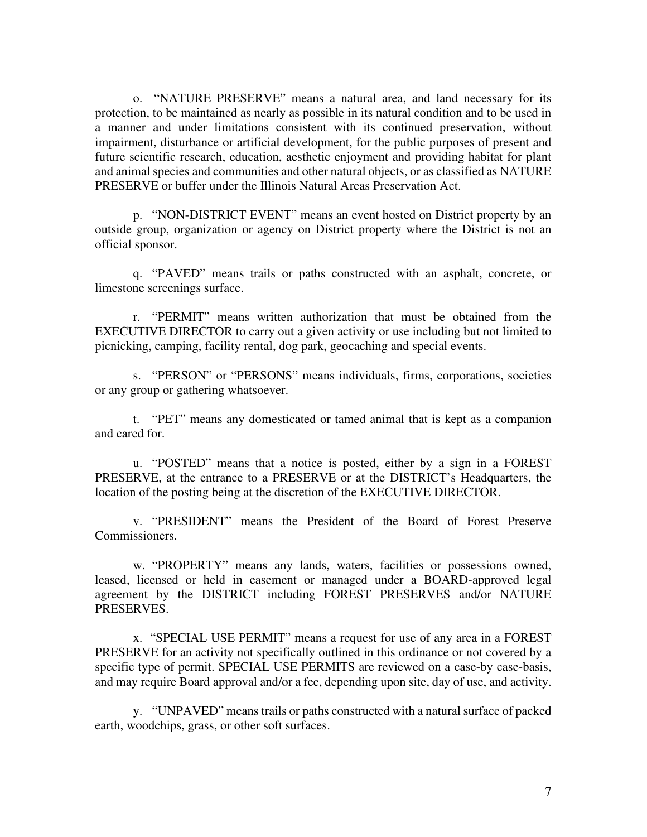o. "NATURE PRESERVE" means a natural area, and land necessary for its protection, to be maintained as nearly as possible in its natural condition and to be used in a manner and under limitations consistent with its continued preservation, without impairment, disturbance or artificial development, for the public purposes of present and future scientific research, education, aesthetic enjoyment and providing habitat for plant and animal species and communities and other natural objects, or as classified as NATURE PRESERVE or buffer under the Illinois Natural Areas Preservation Act.

p. "NON-DISTRICT EVENT" means an event hosted on District property by an outside group, organization or agency on District property where the District is not an official sponsor.

q. "PAVED" means trails or paths constructed with an asphalt, concrete, or limestone screenings surface.

r. "PERMIT" means written authorization that must be obtained from the EXECUTIVE DIRECTOR to carry out a given activity or use including but not limited to picnicking, camping, facility rental, dog park, geocaching and special events.

s. "PERSON" or "PERSONS" means individuals, firms, corporations, societies or any group or gathering whatsoever.

t. "PET" means any domesticated or tamed animal that is kept as a companion and cared for.

u. "POSTED" means that a notice is posted, either by a sign in a FOREST PRESERVE, at the entrance to a PRESERVE or at the DISTRICT's Headquarters, the location of the posting being at the discretion of the EXECUTIVE DIRECTOR.

v. "PRESIDENT" means the President of the Board of Forest Preserve Commissioners.

w. "PROPERTY" means any lands, waters, facilities or possessions owned, leased, licensed or held in easement or managed under a BOARD-approved legal agreement by the DISTRICT including FOREST PRESERVES and/or NATURE PRESERVES.

x. "SPECIAL USE PERMIT" means a request for use of any area in a FOREST PRESERVE for an activity not specifically outlined in this ordinance or not covered by a specific type of permit. SPECIAL USE PERMITS are reviewed on a case-by case-basis, and may require Board approval and/or a fee, depending upon site, day of use, and activity.

y. "UNPAVED" means trails or paths constructed with a natural surface of packed earth, woodchips, grass, or other soft surfaces.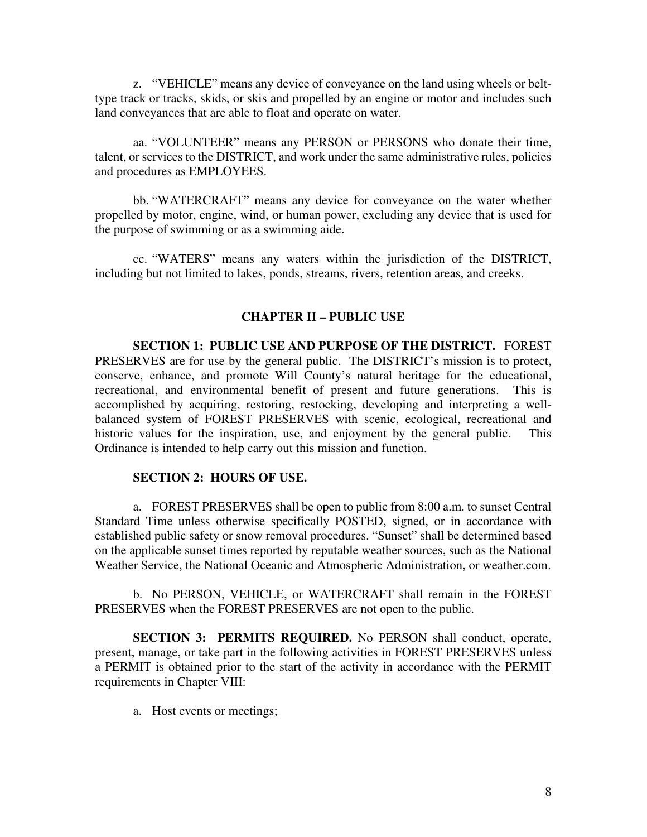z. "VEHICLE" means any device of conveyance on the land using wheels or belttype track or tracks, skids, or skis and propelled by an engine or motor and includes such land conveyances that are able to float and operate on water.

aa. "VOLUNTEER" means any PERSON or PERSONS who donate their time, talent, or services to the DISTRICT, and work under the same administrative rules, policies and procedures as EMPLOYEES.

bb. "WATERCRAFT" means any device for conveyance on the water whether propelled by motor, engine, wind, or human power, excluding any device that is used for the purpose of swimming or as a swimming aide.

cc. "WATERS" means any waters within the jurisdiction of the DISTRICT, including but not limited to lakes, ponds, streams, rivers, retention areas, and creeks.

#### **CHAPTER II – PUBLIC USE**

**SECTION 1: PUBLIC USE AND PURPOSE OF THE DISTRICT.** FOREST PRESERVES are for use by the general public. The DISTRICT's mission is to protect, conserve, enhance, and promote Will County's natural heritage for the educational, recreational, and environmental benefit of present and future generations. This is accomplished by acquiring, restoring, restocking, developing and interpreting a wellbalanced system of FOREST PRESERVES with scenic, ecological, recreational and historic values for the inspiration, use, and enjoyment by the general public. This Ordinance is intended to help carry out this mission and function.

#### **SECTION 2: HOURS OF USE.**

 a. FOREST PRESERVES shall be open to public from 8:00 a.m. to sunset Central Standard Time unless otherwise specifically POSTED, signed, or in accordance with established public safety or snow removal procedures. "Sunset" shall be determined based on the applicable sunset times reported by reputable weather sources, such as the National Weather Service, the National Oceanic and Atmospheric Administration, or weather.com.

 b. No PERSON, VEHICLE, or WATERCRAFT shall remain in the FOREST PRESERVES when the FOREST PRESERVES are not open to the public.

 **SECTION 3: PERMITS REQUIRED.** No PERSON shall conduct, operate, present, manage, or take part in the following activities in FOREST PRESERVES unless a PERMIT is obtained prior to the start of the activity in accordance with the PERMIT requirements in Chapter VIII:

a. Host events or meetings;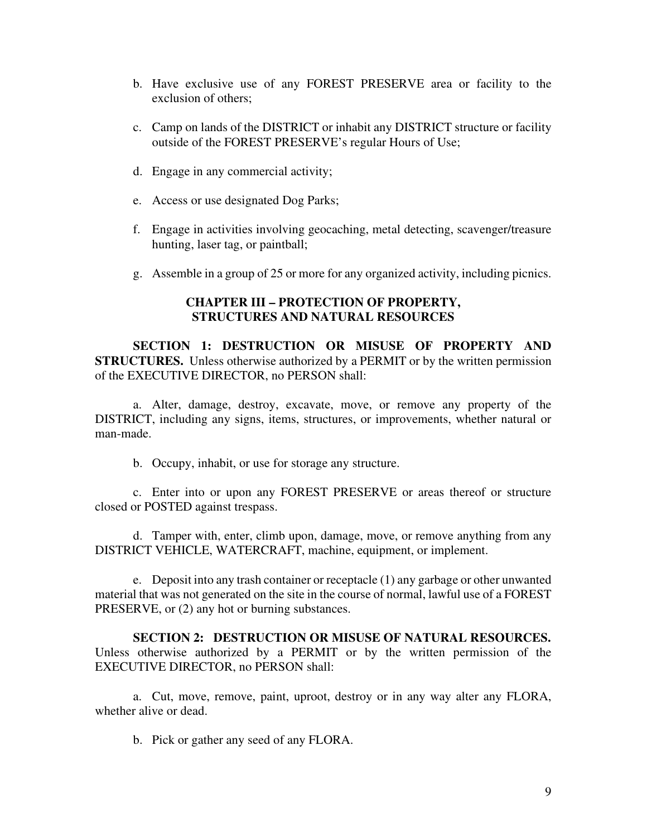- b. Have exclusive use of any FOREST PRESERVE area or facility to the exclusion of others;
- c. Camp on lands of the DISTRICT or inhabit any DISTRICT structure or facility outside of the FOREST PRESERVE's regular Hours of Use;
- d. Engage in any commercial activity;
- e. Access or use designated Dog Parks;
- f. Engage in activities involving geocaching, metal detecting, scavenger/treasure hunting, laser tag, or paintball;
- g. Assemble in a group of 25 or more for any organized activity, including picnics.

## **CHAPTER III – PROTECTION OF PROPERTY, STRUCTURES AND NATURAL RESOURCES**

 **SECTION 1: DESTRUCTION OR MISUSE OF PROPERTY AND STRUCTURES.** Unless otherwise authorized by a PERMIT or by the written permission of the EXECUTIVE DIRECTOR, no PERSON shall:

 a. Alter, damage, destroy, excavate, move, or remove any property of the DISTRICT, including any signs, items, structures, or improvements, whether natural or man-made.

b. Occupy, inhabit, or use for storage any structure.

 c. Enter into or upon any FOREST PRESERVE or areas thereof or structure closed or POSTED against trespass.

 d. Tamper with, enter, climb upon, damage, move, or remove anything from any DISTRICT VEHICLE, WATERCRAFT, machine, equipment, or implement.

 e. Deposit into any trash container or receptacle (1) any garbage or other unwanted material that was not generated on the site in the course of normal, lawful use of a FOREST PRESERVE, or  $(2)$  any hot or burning substances.

 **SECTION 2: DESTRUCTION OR MISUSE OF NATURAL RESOURCES.**  Unless otherwise authorized by a PERMIT or by the written permission of the EXECUTIVE DIRECTOR, no PERSON shall:

 a. Cut, move, remove, paint, uproot, destroy or in any way alter any FLORA, whether alive or dead.

b. Pick or gather any seed of any FLORA.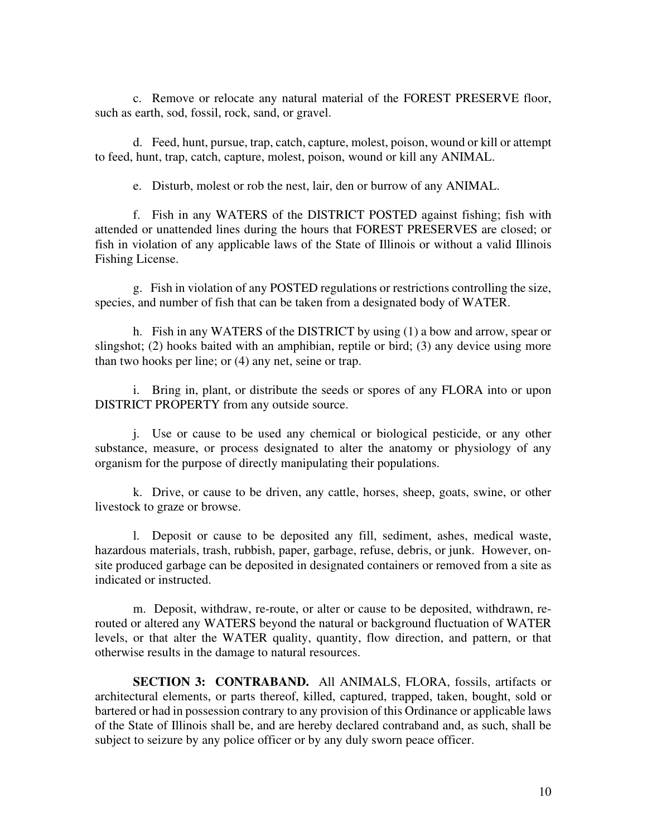c. Remove or relocate any natural material of the FOREST PRESERVE floor, such as earth, sod, fossil, rock, sand, or gravel.

 d. Feed, hunt, pursue, trap, catch, capture, molest, poison, wound or kill or attempt to feed, hunt, trap, catch, capture, molest, poison, wound or kill any ANIMAL.

e. Disturb, molest or rob the nest, lair, den or burrow of any ANIMAL.

 f. Fish in any WATERS of the DISTRICT POSTED against fishing; fish with attended or unattended lines during the hours that FOREST PRESERVES are closed; or fish in violation of any applicable laws of the State of Illinois or without a valid Illinois Fishing License.

 g. Fish in violation of any POSTED regulations or restrictions controlling the size, species, and number of fish that can be taken from a designated body of WATER.

 h. Fish in any WATERS of the DISTRICT by using (1) a bow and arrow, spear or slingshot; (2) hooks baited with an amphibian, reptile or bird; (3) any device using more than two hooks per line; or (4) any net, seine or trap.

 i. Bring in, plant, or distribute the seeds or spores of any FLORA into or upon DISTRICT PROPERTY from any outside source.

 j. Use or cause to be used any chemical or biological pesticide, or any other substance, measure, or process designated to alter the anatomy or physiology of any organism for the purpose of directly manipulating their populations.

 k. Drive, or cause to be driven, any cattle, horses, sheep, goats, swine, or other livestock to graze or browse.

 l. Deposit or cause to be deposited any fill, sediment, ashes, medical waste, hazardous materials, trash, rubbish, paper, garbage, refuse, debris, or junk. However, onsite produced garbage can be deposited in designated containers or removed from a site as indicated or instructed.

 m. Deposit, withdraw, re-route, or alter or cause to be deposited, withdrawn, rerouted or altered any WATERS beyond the natural or background fluctuation of WATER levels, or that alter the WATER quality, quantity, flow direction, and pattern, or that otherwise results in the damage to natural resources.

 **SECTION 3: CONTRABAND.** All ANIMALS, FLORA, fossils, artifacts or architectural elements, or parts thereof, killed, captured, trapped, taken, bought, sold or bartered or had in possession contrary to any provision of this Ordinance or applicable laws of the State of Illinois shall be, and are hereby declared contraband and, as such, shall be subject to seizure by any police officer or by any duly sworn peace officer.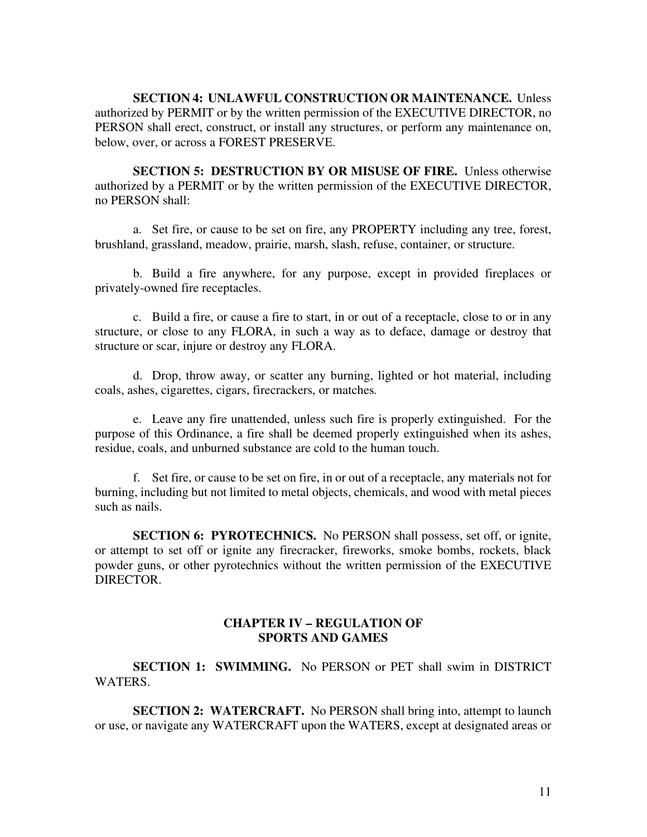**SECTION 4: UNLAWFUL CONSTRUCTION OR MAINTENANCE.** Unless authorized by PERMIT or by the written permission of the EXECUTIVE DIRECTOR, no PERSON shall erect, construct, or install any structures, or perform any maintenance on, below, over, or across a FOREST PRESERVE.

 **SECTION 5: DESTRUCTION BY OR MISUSE OF FIRE.** Unless otherwise authorized by a PERMIT or by the written permission of the EXECUTIVE DIRECTOR, no PERSON shall:

 a. Set fire, or cause to be set on fire, any PROPERTY including any tree, forest, brushland, grassland, meadow, prairie, marsh, slash, refuse, container, or structure.

 b. Build a fire anywhere, for any purpose, except in provided fireplaces or privately-owned fire receptacles.

 c. Build a fire, or cause a fire to start, in or out of a receptacle, close to or in any structure, or close to any FLORA, in such a way as to deface, damage or destroy that structure or scar, injure or destroy any FLORA.

 d. Drop, throw away, or scatter any burning, lighted or hot material, including coals, ashes, cigarettes, cigars, firecrackers, or matches*.* 

 e. Leave any fire unattended, unless such fire is properly extinguished. For the purpose of this Ordinance, a fire shall be deemed properly extinguished when its ashes, residue, coals, and unburned substance are cold to the human touch.

 f. Set fire, or cause to be set on fire, in or out of a receptacle, any materials not for burning, including but not limited to metal objects, chemicals, and wood with metal pieces such as nails.

**SECTION 6: PYROTECHNICS.** No PERSON shall possess, set off, or ignite, or attempt to set off or ignite any firecracker, fireworks, smoke bombs, rockets, black powder guns, or other pyrotechnics without the written permission of the EXECUTIVE DIRECTOR.

#### **CHAPTER IV – REGULATION OF SPORTS AND GAMES**

**SECTION 1: SWIMMING.** No PERSON or PET shall swim in DISTRICT WATERS.

**SECTION 2: WATERCRAFT.** No PERSON shall bring into, attempt to launch or use, or navigate any WATERCRAFT upon the WATERS, except at designated areas or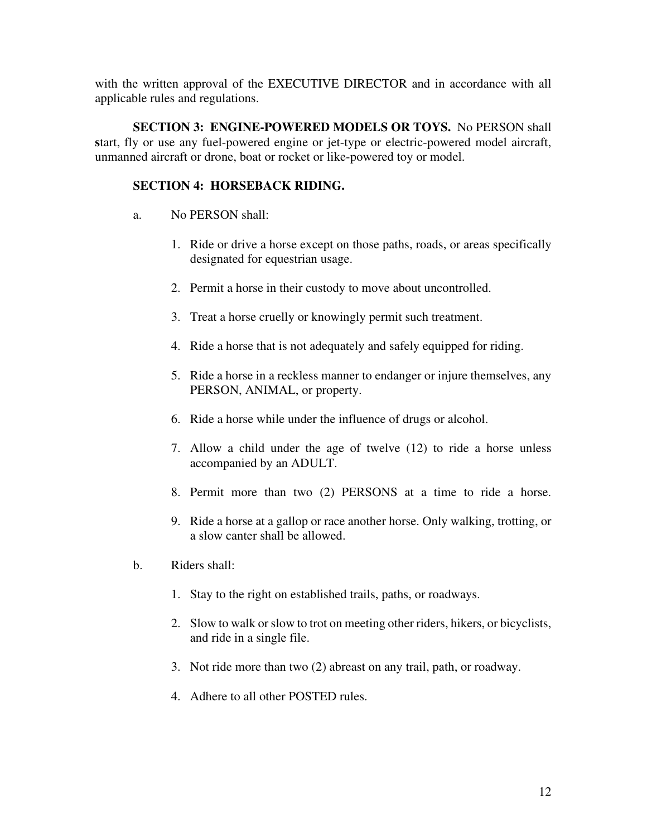with the written approval of the EXECUTIVE DIRECTOR and in accordance with all applicable rules and regulations.

**SECTION 3: ENGINE-POWERED MODELS OR TOYS.** No PERSON shall **s**tart, fly or use any fuel-powered engine or jet-type or electric-powered model aircraft, unmanned aircraft or drone, boat or rocket or like-powered toy or model.

# **SECTION 4: HORSEBACK RIDING.**

- a. No PERSON shall:
	- 1. Ride or drive a horse except on those paths, roads, or areas specifically designated for equestrian usage.
	- 2. Permit a horse in their custody to move about uncontrolled.
	- 3. Treat a horse cruelly or knowingly permit such treatment.
	- 4. Ride a horse that is not adequately and safely equipped for riding.
	- 5. Ride a horse in a reckless manner to endanger or injure themselves, any PERSON, ANIMAL, or property.
	- 6. Ride a horse while under the influence of drugs or alcohol.
	- 7. Allow a child under the age of twelve (12) to ride a horse unless accompanied by an ADULT.
	- 8. Permit more than two (2) PERSONS at a time to ride a horse.
	- 9. Ride a horse at a gallop or race another horse. Only walking, trotting, or a slow canter shall be allowed.
- b. Riders shall:
	- 1. Stay to the right on established trails, paths, or roadways.
	- 2. Slow to walk or slow to trot on meeting other riders, hikers, or bicyclists, and ride in a single file.
	- 3. Not ride more than two (2) abreast on any trail, path, or roadway.
	- 4. Adhere to all other POSTED rules.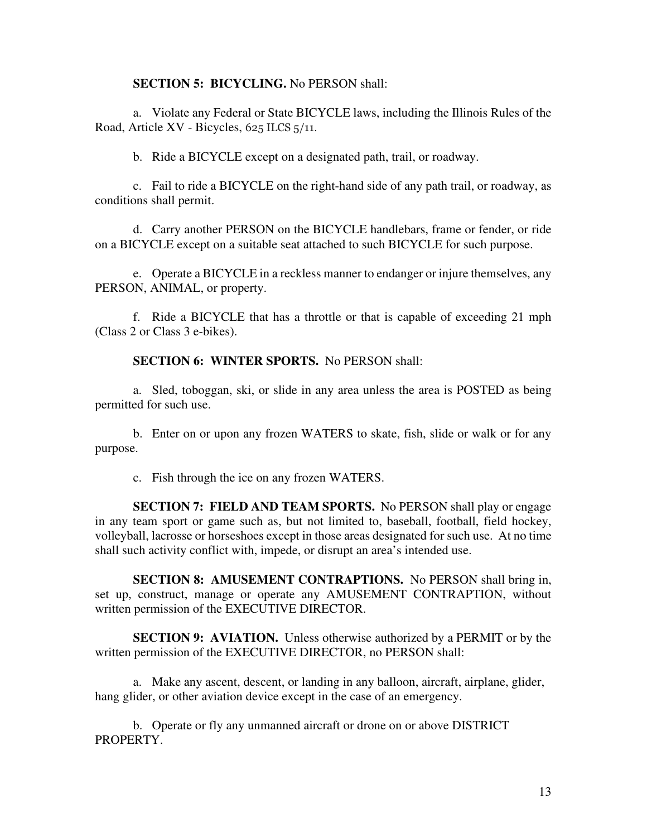#### **SECTION 5: BICYCLING.** No PERSON shall:

a. Violate any Federal or State BICYCLE laws, including the Illinois Rules of the Road, Article XV - Bicycles, 625 ILCS 5/11.

b. Ride a BICYCLE except on a designated path, trail, or roadway.

c. Fail to ride a BICYCLE on the right-hand side of any path trail, or roadway, as conditions shall permit.

d. Carry another PERSON on the BICYCLE handlebars, frame or fender, or ride on a BICYCLE except on a suitable seat attached to such BICYCLE for such purpose.

e. Operate a BICYCLE in a reckless manner to endanger or injure themselves, any PERSON, ANIMAL, or property.

f. Ride a BICYCLE that has a throttle or that is capable of exceeding 21 mph (Class 2 or Class 3 e-bikes).

#### **SECTION 6: WINTER SPORTS.** No PERSON shall:

a. Sled, toboggan, ski, or slide in any area unless the area is POSTED as being permitted for such use.

b. Enter on or upon any frozen WATERS to skate, fish, slide or walk or for any purpose.

c. Fish through the ice on any frozen WATERS.

**SECTION 7: FIELD AND TEAM SPORTS.** No PERSON shall play or engage in any team sport or game such as, but not limited to, baseball, football, field hockey, volleyball, lacrosse or horseshoes except in those areas designated for such use. At no time shall such activity conflict with, impede, or disrupt an area's intended use.

**SECTION 8: AMUSEMENT CONTRAPTIONS.** No PERSON shall bring in, set up, construct, manage or operate any AMUSEMENT CONTRAPTION, without written permission of the EXECUTIVE DIRECTOR.

**SECTION 9: AVIATION.** Unless otherwise authorized by a PERMIT or by the written permission of the EXECUTIVE DIRECTOR, no PERSON shall:

a. Make any ascent, descent, or landing in any balloon, aircraft, airplane, glider, hang glider, or other aviation device except in the case of an emergency.

b. Operate or fly any unmanned aircraft or drone on or above DISTRICT PROPERTY.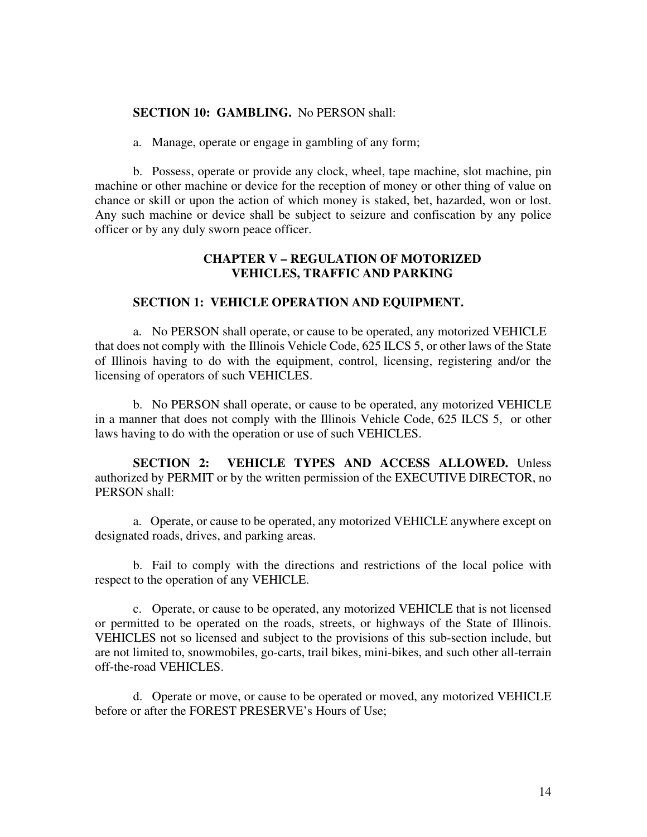#### **SECTION 10: GAMBLING.** No PERSON shall:

a. Manage, operate or engage in gambling of any form;

b. Possess, operate or provide any clock, wheel, tape machine, slot machine, pin machine or other machine or device for the reception of money or other thing of value on chance or skill or upon the action of which money is staked, bet, hazarded, won or lost. Any such machine or device shall be subject to seizure and confiscation by any police officer or by any duly sworn peace officer.

## **CHAPTER V – REGULATION OF MOTORIZED VEHICLES, TRAFFIC AND PARKING**

#### **SECTION 1: VEHICLE OPERATION AND EQUIPMENT.**

a. No PERSON shall operate, or cause to be operated, any motorized VEHICLE that does not comply with the Illinois Vehicle Code, 625 ILCS 5, or other laws of the State of Illinois having to do with the equipment, control, licensing, registering and/or the licensing of operators of such VEHICLES.

b. No PERSON shall operate, or cause to be operated, any motorized VEHICLE in a manner that does not comply with the Illinois Vehicle Code, 625 ILCS 5, or other laws having to do with the operation or use of such VEHICLES.

**SECTION 2: VEHICLE TYPES AND ACCESS ALLOWED.** Unless authorized by PERMIT or by the written permission of the EXECUTIVE DIRECTOR, no PERSON shall:

 a. Operate, or cause to be operated, any motorized VEHICLE anywhere except on designated roads, drives, and parking areas.

 b. Fail to comply with the directions and restrictions of the local police with respect to the operation of any VEHICLE.

 c. Operate, or cause to be operated, any motorized VEHICLE that is not licensed or permitted to be operated on the roads, streets, or highways of the State of Illinois. VEHICLES not so licensed and subject to the provisions of this sub-section include, but are not limited to, snowmobiles, go-carts, trail bikes, mini-bikes, and such other all-terrain off-the-road VEHICLES.

 d. Operate or move, or cause to be operated or moved, any motorized VEHICLE before or after the FOREST PRESERVE's Hours of Use;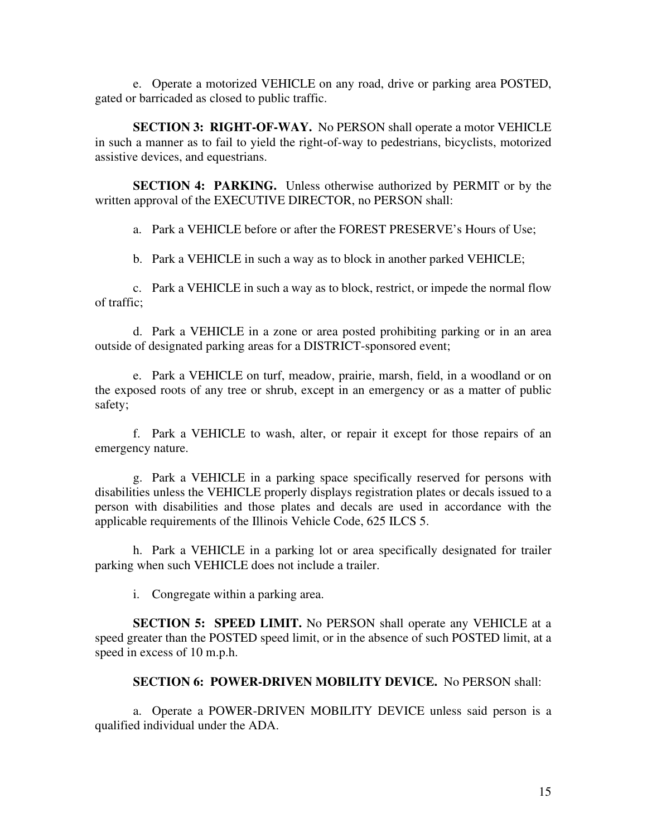e. Operate a motorized VEHICLE on any road, drive or parking area POSTED, gated or barricaded as closed to public traffic.

**SECTION 3: RIGHT-OF-WAY.** No PERSON shall operate a motor VEHICLE in such a manner as to fail to yield the right-of-way to pedestrians, bicyclists, motorized assistive devices, and equestrians.

**SECTION 4: PARKING.** Unless otherwise authorized by PERMIT or by the written approval of the EXECUTIVE DIRECTOR, no PERSON shall:

a. Park a VEHICLE before or after the FOREST PRESERVE's Hours of Use;

b. Park a VEHICLE in such a way as to block in another parked VEHICLE;

 c. Park a VEHICLE in such a way as to block, restrict, or impede the normal flow of traffic;

 d. Park a VEHICLE in a zone or area posted prohibiting parking or in an area outside of designated parking areas for a DISTRICT-sponsored event;

 e. Park a VEHICLE on turf, meadow, prairie, marsh, field, in a woodland or on the exposed roots of any tree or shrub, except in an emergency or as a matter of public safety;

 f. Park a VEHICLE to wash, alter, or repair it except for those repairs of an emergency nature.

 g. Park a VEHICLE in a parking space specifically reserved for persons with disabilities unless the VEHICLE properly displays registration plates or decals issued to a person with disabilities and those plates and decals are used in accordance with the applicable requirements of the Illinois Vehicle Code, 625 ILCS 5.

 h. Park a VEHICLE in a parking lot or area specifically designated for trailer parking when such VEHICLE does not include a trailer.

i. Congregate within a parking area.

**SECTION 5: SPEED LIMIT.** No PERSON shall operate any VEHICLE at a speed greater than the POSTED speed limit, or in the absence of such POSTED limit, at a speed in excess of 10 m.p.h.

## **SECTION 6: POWER-DRIVEN MOBILITY DEVICE.** No PERSON shall:

a. Operate a POWER-DRIVEN MOBILITY DEVICE unless said person is a qualified individual under the ADA.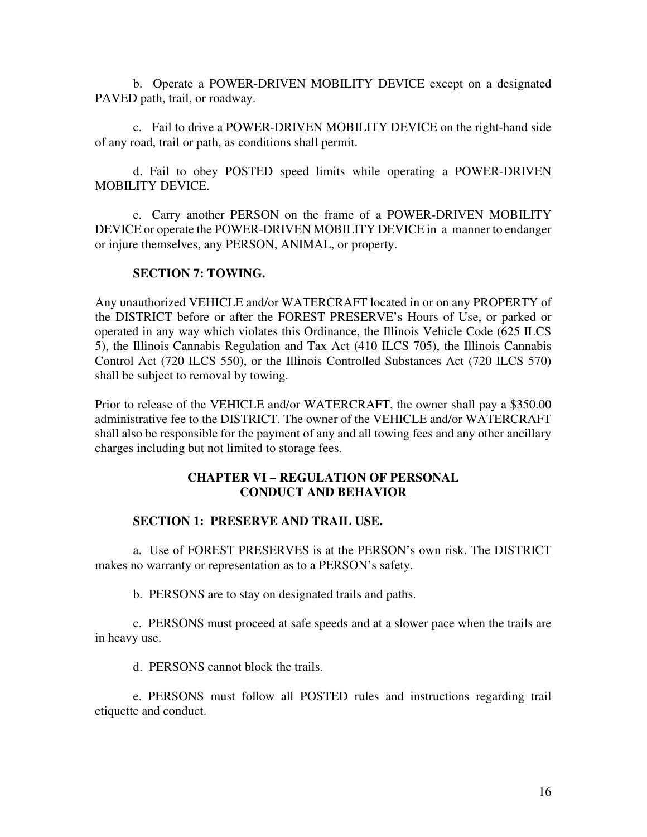b. Operate a POWER-DRIVEN MOBILITY DEVICE except on a designated PAVED path, trail, or roadway.

c. Fail to drive a POWER-DRIVEN MOBILITY DEVICE on the right-hand side of any road, trail or path, as conditions shall permit.

d. Fail to obey POSTED speed limits while operating a POWER-DRIVEN MOBILITY DEVICE.

e. Carry another PERSON on the frame of a POWER-DRIVEN MOBILITY DEVICE or operate the POWER-DRIVEN MOBILITY DEVICE in a manner to endanger or injure themselves, any PERSON, ANIMAL, or property.

## **SECTION 7: TOWING.**

Any unauthorized VEHICLE and/or WATERCRAFT located in or on any PROPERTY of the DISTRICT before or after the FOREST PRESERVE's Hours of Use, or parked or operated in any way which violates this Ordinance, the Illinois Vehicle Code (625 ILCS 5), the Illinois Cannabis Regulation and Tax Act (410 ILCS 705), the Illinois Cannabis Control Act (720 ILCS 550), or the Illinois Controlled Substances Act (720 ILCS 570) shall be subject to removal by towing.

Prior to release of the VEHICLE and/or WATERCRAFT, the owner shall pay a \$350.00 administrative fee to the DISTRICT. The owner of the VEHICLE and/or WATERCRAFT shall also be responsible for the payment of any and all towing fees and any other ancillary charges including but not limited to storage fees.

## **CHAPTER VI – REGULATION OF PERSONAL CONDUCT AND BEHAVIOR**

## **SECTION 1: PRESERVE AND TRAIL USE.**

a. Use of FOREST PRESERVES is at the PERSON's own risk. The DISTRICT makes no warranty or representation as to a PERSON's safety.

b. PERSONS are to stay on designated trails and paths.

c. PERSONS must proceed at safe speeds and at a slower pace when the trails are in heavy use.

d. PERSONS cannot block the trails.

e. PERSONS must follow all POSTED rules and instructions regarding trail etiquette and conduct.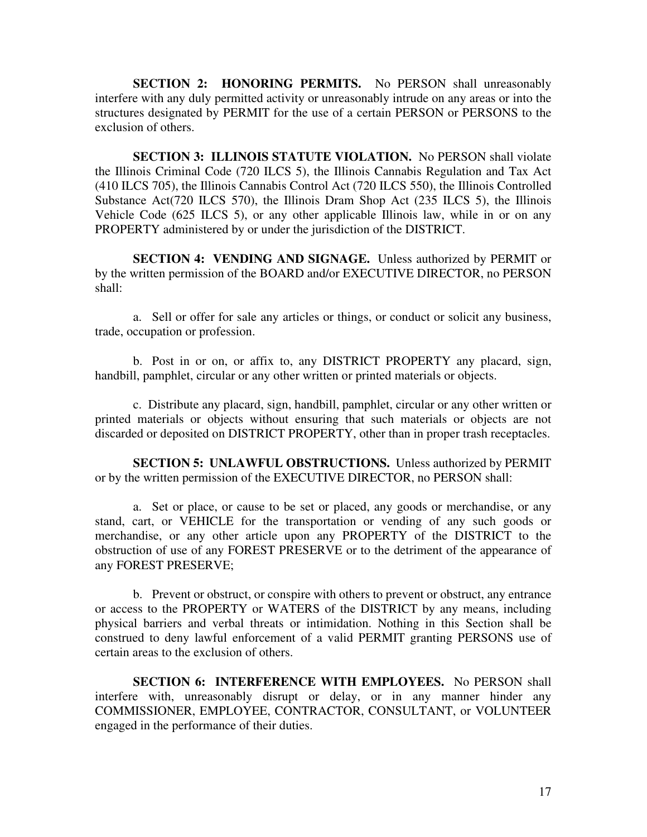**SECTION 2: HONORING PERMITS.** No PERSON shall unreasonably interfere with any duly permitted activity or unreasonably intrude on any areas or into the structures designated by PERMIT for the use of a certain PERSON or PERSONS to the exclusion of others.

**SECTION 3: ILLINOIS STATUTE VIOLATION.** No PERSON shall violate the Illinois Criminal Code (720 ILCS 5), the Illinois Cannabis Regulation and Tax Act (410 ILCS 705), the Illinois Cannabis Control Act (720 ILCS 550), the Illinois Controlled Substance Act(720 ILCS 570), the Illinois Dram Shop Act (235 ILCS 5), the Illinois Vehicle Code (625 ILCS 5), or any other applicable Illinois law, while in or on any PROPERTY administered by or under the jurisdiction of the DISTRICT.

**SECTION 4: VENDING AND SIGNAGE.** Unless authorized by PERMIT or by the written permission of the BOARD and/or EXECUTIVE DIRECTOR, no PERSON shall:

a. Sell or offer for sale any articles or things, or conduct or solicit any business, trade, occupation or profession.

 b. Post in or on, or affix to, any DISTRICT PROPERTY any placard, sign, handbill, pamphlet, circular or any other written or printed materials or objects.

 c. Distribute any placard, sign, handbill, pamphlet, circular or any other written or printed materials or objects without ensuring that such materials or objects are not discarded or deposited on DISTRICT PROPERTY, other than in proper trash receptacles.

**SECTION 5: UNLAWFUL OBSTRUCTIONS.** Unless authorized by PERMIT or by the written permission of the EXECUTIVE DIRECTOR, no PERSON shall:

a. Set or place, or cause to be set or placed, any goods or merchandise, or any stand, cart, or VEHICLE for the transportation or vending of any such goods or merchandise, or any other article upon any PROPERTY of the DISTRICT to the obstruction of use of any FOREST PRESERVE or to the detriment of the appearance of any FOREST PRESERVE;

 b. Prevent or obstruct, or conspire with others to prevent or obstruct, any entrance or access to the PROPERTY or WATERS of the DISTRICT by any means, including physical barriers and verbal threats or intimidation. Nothing in this Section shall be construed to deny lawful enforcement of a valid PERMIT granting PERSONS use of certain areas to the exclusion of others.

**SECTION 6: INTERFERENCE WITH EMPLOYEES.** No PERSON shall interfere with, unreasonably disrupt or delay, or in any manner hinder any COMMISSIONER, EMPLOYEE, CONTRACTOR, CONSULTANT, or VOLUNTEER engaged in the performance of their duties.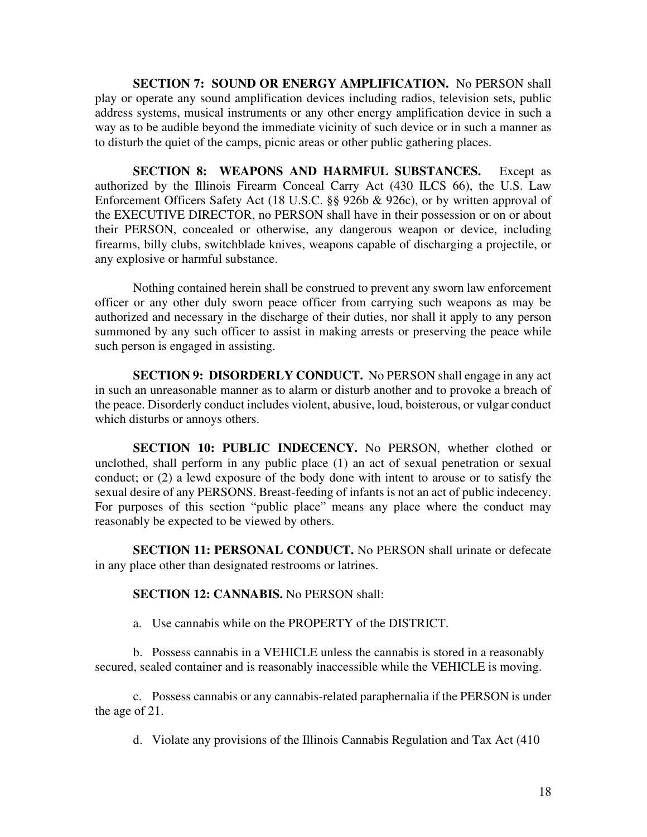**SECTION 7: SOUND OR ENERGY AMPLIFICATION.** No PERSON shall play or operate any sound amplification devices including radios, television sets, public address systems, musical instruments or any other energy amplification device in such a way as to be audible beyond the immediate vicinity of such device or in such a manner as to disturb the quiet of the camps, picnic areas or other public gathering places.

**SECTION 8: WEAPONS AND HARMFUL SUBSTANCES.** Except as authorized by the Illinois Firearm Conceal Carry Act (430 ILCS 66), the U.S. Law Enforcement Officers Safety Act (18 U.S.C. §§ 926b & 926c), or by written approval of the EXECUTIVE DIRECTOR, no PERSON shall have in their possession or on or about their PERSON, concealed or otherwise, any dangerous weapon or device, including firearms, billy clubs, switchblade knives, weapons capable of discharging a projectile, or any explosive or harmful substance.

Nothing contained herein shall be construed to prevent any sworn law enforcement officer or any other duly sworn peace officer from carrying such weapons as may be authorized and necessary in the discharge of their duties, nor shall it apply to any person summoned by any such officer to assist in making arrests or preserving the peace while such person is engaged in assisting.

**SECTION 9: DISORDERLY CONDUCT.** No PERSON shall engage in any act in such an unreasonable manner as to alarm or disturb another and to provoke a breach of the peace. Disorderly conduct includes violent, abusive, loud, boisterous, or vulgar conduct which disturbs or annoys others.

**SECTION 10: PUBLIC INDECENCY.** No PERSON, whether clothed or unclothed, shall perform in any public place (1) an act of sexual penetration or sexual conduct; or (2) a lewd exposure of the body done with intent to arouse or to satisfy the sexual desire of any PERSONS. Breast-feeding of infants is not an act of public indecency. For purposes of this section "public place" means any place where the conduct may reasonably be expected to be viewed by others.

**SECTION 11: PERSONAL CONDUCT.** No PERSON shall urinate or defecate in any place other than designated restrooms or latrines.

#### **SECTION 12: CANNABIS.** No PERSON shall:

a. Use cannabis while on the PROPERTY of the DISTRICT.

b. Possess cannabis in a VEHICLE unless the cannabis is stored in a reasonably secured, sealed container and is reasonably inaccessible while the VEHICLE is moving.

c. Possess cannabis or any cannabis-related paraphernalia if the PERSON is under the age of 21.

d. Violate any provisions of the Illinois Cannabis Regulation and Tax Act (410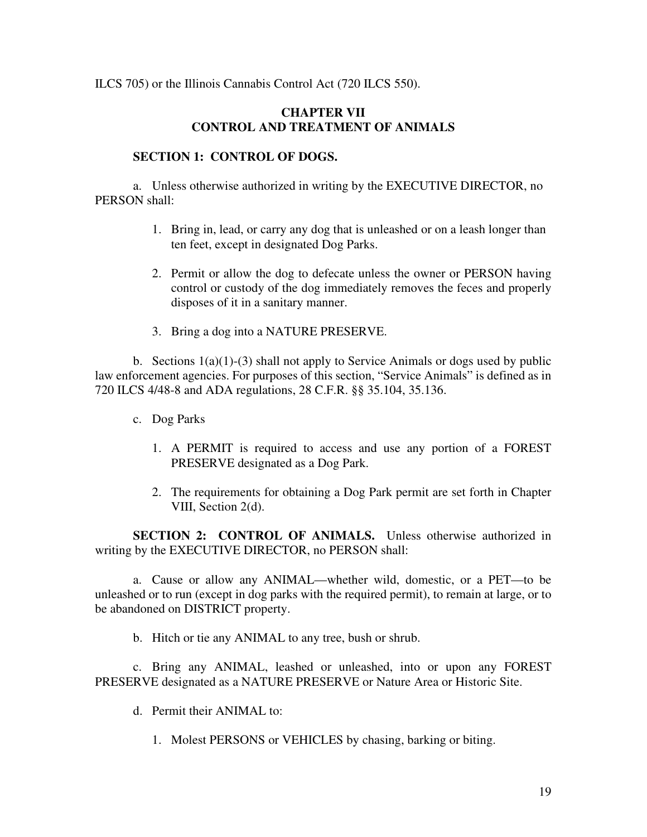ILCS 705) or the Illinois Cannabis Control Act (720 ILCS 550).

## **CHAPTER VII CONTROL AND TREATMENT OF ANIMALS**

#### **SECTION 1: CONTROL OF DOGS.**

a. Unless otherwise authorized in writing by the EXECUTIVE DIRECTOR, no PERSON shall:

- 1. Bring in, lead, or carry any dog that is unleashed or on a leash longer than ten feet, except in designated Dog Parks.
- 2. Permit or allow the dog to defecate unless the owner or PERSON having control or custody of the dog immediately removes the feces and properly disposes of it in a sanitary manner.
- 3. Bring a dog into a NATURE PRESERVE.

b. Sections  $1(a)(1)-(3)$  shall not apply to Service Animals or dogs used by public law enforcement agencies. For purposes of this section, "Service Animals" is defined as in 720 ILCS 4/48-8 and ADA regulations, 28 C.F.R. §§ 35.104, 35.136.

- c. Dog Parks
	- 1. A PERMIT is required to access and use any portion of a FOREST PRESERVE designated as a Dog Park.
	- 2. The requirements for obtaining a Dog Park permit are set forth in Chapter VIII, Section 2(d).

**SECTION 2: CONTROL OF ANIMALS.** Unless otherwise authorized in writing by the EXECUTIVE DIRECTOR, no PERSON shall:

a. Cause or allow any ANIMAL—whether wild, domestic, or a PET—to be unleashed or to run (except in dog parks with the required permit), to remain at large, or to be abandoned on DISTRICT property.

b. Hitch or tie any ANIMAL to any tree, bush or shrub.

 c. Bring any ANIMAL, leashed or unleashed, into or upon any FOREST PRESERVE designated as a NATURE PRESERVE or Nature Area or Historic Site.

- d. Permit their ANIMAL to:
	- 1. Molest PERSONS or VEHICLES by chasing, barking or biting.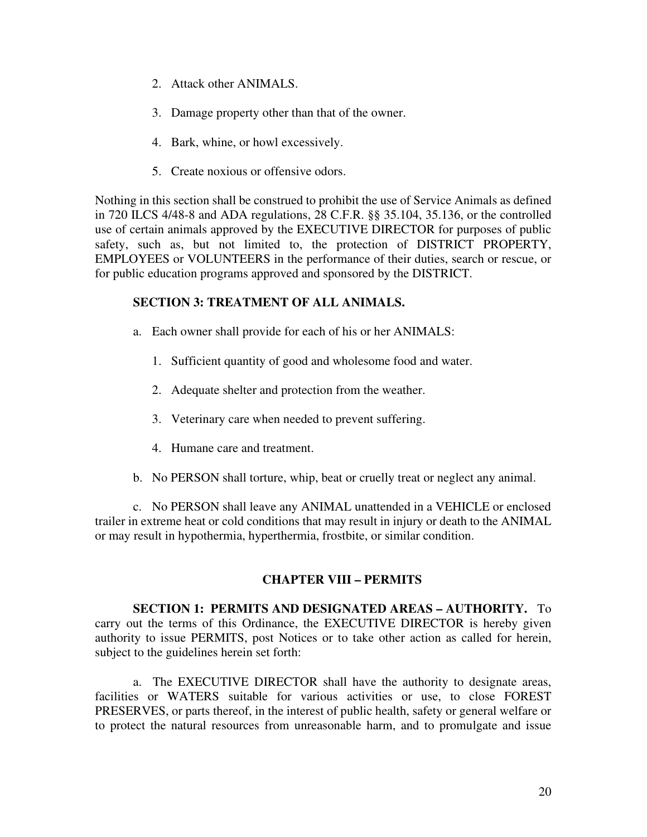- 2. Attack other ANIMALS.
- 3. Damage property other than that of the owner.
- 4. Bark, whine, or howl excessively.
- 5. Create noxious or offensive odors.

Nothing in this section shall be construed to prohibit the use of Service Animals as defined in 720 ILCS 4/48-8 and ADA regulations, 28 C.F.R. §§ 35.104, 35.136, or the controlled use of certain animals approved by the EXECUTIVE DIRECTOR for purposes of public safety, such as, but not limited to, the protection of DISTRICT PROPERTY, EMPLOYEES or VOLUNTEERS in the performance of their duties, search or rescue, or for public education programs approved and sponsored by the DISTRICT.

## **SECTION 3: TREATMENT OF ALL ANIMALS.**

- a. Each owner shall provide for each of his or her ANIMALS:
	- 1. Sufficient quantity of good and wholesome food and water.
	- 2. Adequate shelter and protection from the weather.
	- 3. Veterinary care when needed to prevent suffering.
	- 4. Humane care and treatment.
- b. No PERSON shall torture, whip, beat or cruelly treat or neglect any animal.

c. No PERSON shall leave any ANIMAL unattended in a VEHICLE or enclosed trailer in extreme heat or cold conditions that may result in injury or death to the ANIMAL or may result in hypothermia, hyperthermia, frostbite, or similar condition.

# **CHAPTER VIII – PERMITS**

**SECTION 1: PERMITS AND DESIGNATED AREAS – AUTHORITY.** To carry out the terms of this Ordinance, the EXECUTIVE DIRECTOR is hereby given authority to issue PERMITS, post Notices or to take other action as called for herein, subject to the guidelines herein set forth:

a. The EXECUTIVE DIRECTOR shall have the authority to designate areas, facilities or WATERS suitable for various activities or use, to close FOREST PRESERVES, or parts thereof, in the interest of public health, safety or general welfare or to protect the natural resources from unreasonable harm, and to promulgate and issue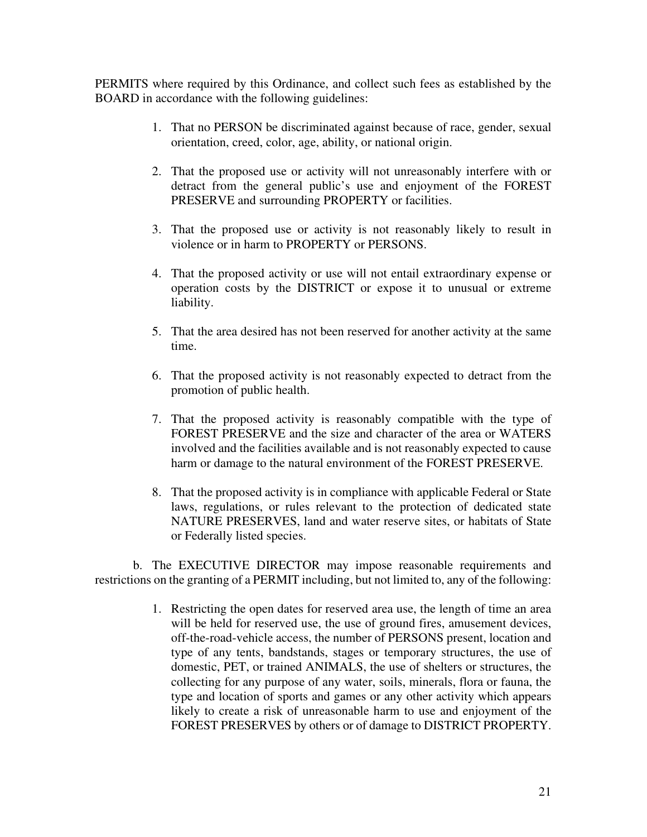PERMITS where required by this Ordinance, and collect such fees as established by the BOARD in accordance with the following guidelines:

- 1. That no PERSON be discriminated against because of race, gender, sexual orientation, creed, color, age, ability, or national origin.
- 2. That the proposed use or activity will not unreasonably interfere with or detract from the general public's use and enjoyment of the FOREST PRESERVE and surrounding PROPERTY or facilities.
- 3. That the proposed use or activity is not reasonably likely to result in violence or in harm to PROPERTY or PERSONS.
- 4. That the proposed activity or use will not entail extraordinary expense or operation costs by the DISTRICT or expose it to unusual or extreme liability.
- 5. That the area desired has not been reserved for another activity at the same time.
- 6. That the proposed activity is not reasonably expected to detract from the promotion of public health.
- 7. That the proposed activity is reasonably compatible with the type of FOREST PRESERVE and the size and character of the area or WATERS involved and the facilities available and is not reasonably expected to cause harm or damage to the natural environment of the FOREST PRESERVE.
- 8. That the proposed activity is in compliance with applicable Federal or State laws, regulations, or rules relevant to the protection of dedicated state NATURE PRESERVES, land and water reserve sites, or habitats of State or Federally listed species.

b. The EXECUTIVE DIRECTOR may impose reasonable requirements and restrictions on the granting of a PERMIT including, but not limited to, any of the following:

> 1. Restricting the open dates for reserved area use, the length of time an area will be held for reserved use, the use of ground fires, amusement devices, off-the-road-vehicle access, the number of PERSONS present, location and type of any tents, bandstands, stages or temporary structures, the use of domestic, PET, or trained ANIMALS, the use of shelters or structures, the collecting for any purpose of any water, soils, minerals, flora or fauna, the type and location of sports and games or any other activity which appears likely to create a risk of unreasonable harm to use and enjoyment of the FOREST PRESERVES by others or of damage to DISTRICT PROPERTY.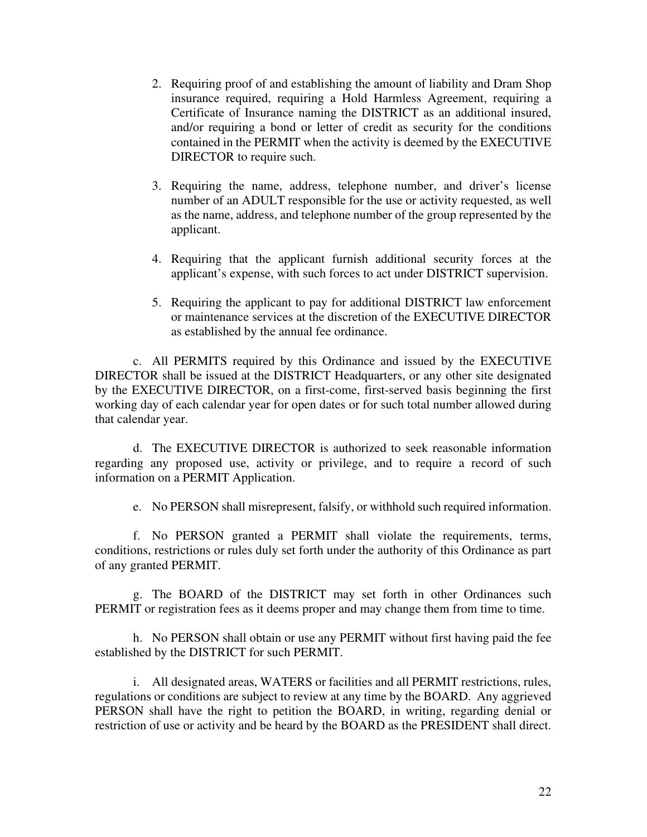- 2. Requiring proof of and establishing the amount of liability and Dram Shop insurance required, requiring a Hold Harmless Agreement, requiring a Certificate of Insurance naming the DISTRICT as an additional insured, and/or requiring a bond or letter of credit as security for the conditions contained in the PERMIT when the activity is deemed by the EXECUTIVE DIRECTOR to require such.
- 3. Requiring the name, address, telephone number, and driver's license number of an ADULT responsible for the use or activity requested, as well as the name, address, and telephone number of the group represented by the applicant.
- 4. Requiring that the applicant furnish additional security forces at the applicant's expense, with such forces to act under DISTRICT supervision.
- 5. Requiring the applicant to pay for additional DISTRICT law enforcement or maintenance services at the discretion of the EXECUTIVE DIRECTOR as established by the annual fee ordinance.

c. All PERMITS required by this Ordinance and issued by the EXECUTIVE DIRECTOR shall be issued at the DISTRICT Headquarters, or any other site designated by the EXECUTIVE DIRECTOR, on a first-come, first-served basis beginning the first working day of each calendar year for open dates or for such total number allowed during that calendar year.

d. The EXECUTIVE DIRECTOR is authorized to seek reasonable information regarding any proposed use, activity or privilege, and to require a record of such information on a PERMIT Application.

e. No PERSON shall misrepresent, falsify, or withhold such required information.

f. No PERSON granted a PERMIT shall violate the requirements, terms, conditions, restrictions or rules duly set forth under the authority of this Ordinance as part of any granted PERMIT.

g. The BOARD of the DISTRICT may set forth in other Ordinances such PERMIT or registration fees as it deems proper and may change them from time to time.

h. No PERSON shall obtain or use any PERMIT without first having paid the fee established by the DISTRICT for such PERMIT.

i. All designated areas, WATERS or facilities and all PERMIT restrictions, rules, regulations or conditions are subject to review at any time by the BOARD. Any aggrieved PERSON shall have the right to petition the BOARD, in writing, regarding denial or restriction of use or activity and be heard by the BOARD as the PRESIDENT shall direct.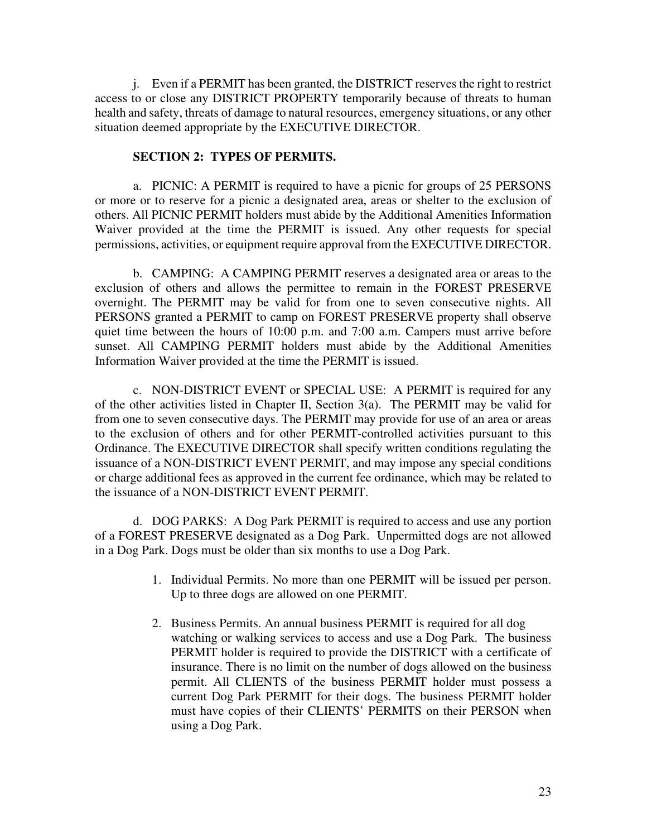j.Even if a PERMIT has been granted, the DISTRICT reserves the right to restrict access to or close any DISTRICT PROPERTY temporarily because of threats to human health and safety, threats of damage to natural resources, emergency situations, or any other situation deemed appropriate by the EXECUTIVE DIRECTOR.

## **SECTION 2: TYPES OF PERMITS.**

a. PICNIC: A PERMIT is required to have a picnic for groups of 25 PERSONS or more or to reserve for a picnic a designated area, areas or shelter to the exclusion of others. All PICNIC PERMIT holders must abide by the Additional Amenities Information Waiver provided at the time the PERMIT is issued. Any other requests for special permissions, activities, or equipment require approval from the EXECUTIVE DIRECTOR.

b. CAMPING: A CAMPING PERMIT reserves a designated area or areas to the exclusion of others and allows the permittee to remain in the FOREST PRESERVE overnight. The PERMIT may be valid for from one to seven consecutive nights. All PERSONS granted a PERMIT to camp on FOREST PRESERVE property shall observe quiet time between the hours of 10:00 p.m. and 7:00 a.m. Campers must arrive before sunset. All CAMPING PERMIT holders must abide by the Additional Amenities Information Waiver provided at the time the PERMIT is issued.

 c. NON-DISTRICT EVENT or SPECIAL USE: A PERMIT is required for any of the other activities listed in Chapter II, Section 3(a). The PERMIT may be valid for from one to seven consecutive days. The PERMIT may provide for use of an area or areas to the exclusion of others and for other PERMIT-controlled activities pursuant to this Ordinance. The EXECUTIVE DIRECTOR shall specify written conditions regulating the issuance of a NON-DISTRICT EVENT PERMIT, and may impose any special conditions or charge additional fees as approved in the current fee ordinance, which may be related to the issuance of a NON-DISTRICT EVENT PERMIT.

 d. DOG PARKS: A Dog Park PERMIT is required to access and use any portion of a FOREST PRESERVE designated as a Dog Park. Unpermitted dogs are not allowed in a Dog Park. Dogs must be older than six months to use a Dog Park.

- 1. Individual Permits. No more than one PERMIT will be issued per person. Up to three dogs are allowed on one PERMIT.
- 2. Business Permits. An annual business PERMIT is required for all dog watching or walking services to access and use a Dog Park. The business PERMIT holder is required to provide the DISTRICT with a certificate of insurance. There is no limit on the number of dogs allowed on the business permit. All CLIENTS of the business PERMIT holder must possess a current Dog Park PERMIT for their dogs. The business PERMIT holder must have copies of their CLIENTS' PERMITS on their PERSON when using a Dog Park.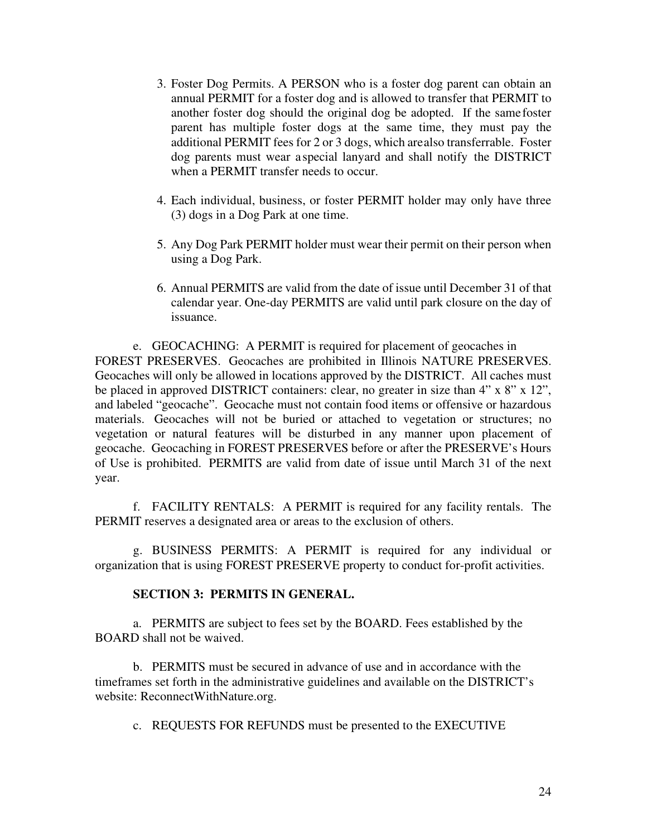- 3. Foster Dog Permits. A PERSON who is a foster dog parent can obtain an annual PERMIT for a foster dog and is allowed to transfer that PERMIT to another foster dog should the original dog be adopted. If the samefoster parent has multiple foster dogs at the same time, they must pay the additional PERMIT fees for 2 or 3 dogs, which arealso transferrable. Foster dog parents must wear a special lanyard and shall notify the DISTRICT when a PERMIT transfer needs to occur.
- 4. Each individual, business, or foster PERMIT holder may only have three (3) dogs in a Dog Park at one time.
- 5. Any Dog Park PERMIT holder must wear their permit on their person when using a Dog Park.
- 6. Annual PERMITS are valid from the date of issue until December 31 of that calendar year. One-day PERMITS are valid until park closure on the day of issuance.

e. GEOCACHING: A PERMIT is required for placement of geocaches in FOREST PRESERVES. Geocaches are prohibited in Illinois NATURE PRESERVES. Geocaches will only be allowed in locations approved by the DISTRICT. All caches must be placed in approved DISTRICT containers: clear, no greater in size than 4" x 8" x 12", and labeled "geocache". Geocache must not contain food items or offensive or hazardous materials. Geocaches will not be buried or attached to vegetation or structures; no vegetation or natural features will be disturbed in any manner upon placement of geocache. Geocaching in FOREST PRESERVES before or after the PRESERVE's Hours of Use is prohibited. PERMITS are valid from date of issue until March 31 of the next year.

 f. FACILITY RENTALS: A PERMIT is required for any facility rentals. The PERMIT reserves a designated area or areas to the exclusion of others.

 g. BUSINESS PERMITS: A PERMIT is required for any individual or organization that is using FOREST PRESERVE property to conduct for-profit activities.

## **SECTION 3: PERMITS IN GENERAL.**

a. PERMITS are subject to fees set by the BOARD. Fees established by the BOARD shall not be waived.

b. PERMITS must be secured in advance of use and in accordance with the timeframes set forth in the administrative guidelines and available on the DISTRICT's website: ReconnectWithNature.org.

c. REQUESTS FOR REFUNDS must be presented to the EXECUTIVE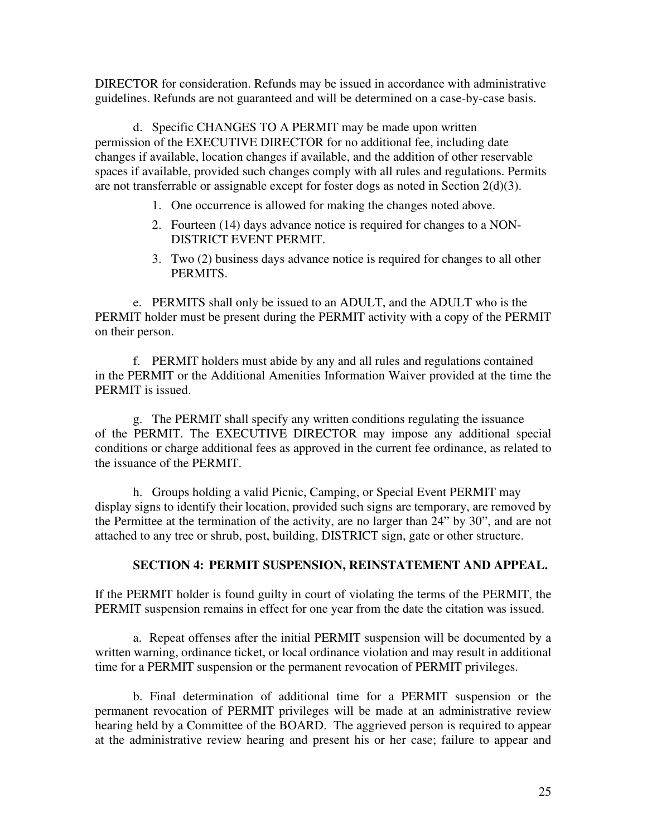DIRECTOR for consideration. Refunds may be issued in accordance with administrative guidelines. Refunds are not guaranteed and will be determined on a case-by-case basis.

d. Specific CHANGES TO A PERMIT may be made upon written permission of the EXECUTIVE DIRECTOR for no additional fee, including date changes if available, location changes if available, and the addition of other reservable spaces if available, provided such changes comply with all rules and regulations. Permits are not transferrable or assignable except for foster dogs as noted in Section 2(d)(3).

- 1. One occurrence is allowed for making the changes noted above.
- 2. Fourteen (14) days advance notice is required for changes to a NON- DISTRICT EVENT PERMIT.
- 3. Two (2) business days advance notice is required for changes to all other PERMITS.

e. PERMITS shall only be issued to an ADULT, and the ADULT who is the PERMIT holder must be present during the PERMIT activity with a copy of the PERMIT on their person.

f. PERMIT holders must abide by any and all rules and regulations contained in the PERMIT or the Additional Amenities Information Waiver provided at the time the PERMIT is issued.

g. The PERMIT shall specify any written conditions regulating the issuance of the PERMIT. The EXECUTIVE DIRECTOR may impose any additional special conditions or charge additional fees as approved in the current fee ordinance, as related to the issuance of the PERMIT.

h. Groups holding a valid Picnic, Camping, or Special Event PERMIT may display signs to identify their location, provided such signs are temporary, are removed by the Permittee at the termination of the activity, are no larger than 24" by 30", and are not attached to any tree or shrub, post, building, DISTRICT sign, gate or other structure.

#### **SECTION 4: PERMIT SUSPENSION, REINSTATEMENT AND APPEAL.**

If the PERMIT holder is found guilty in court of violating the terms of the PERMIT, the PERMIT suspension remains in effect for one year from the date the citation was issued.

 a. Repeat offenses after the initial PERMIT suspension will be documented by a written warning, ordinance ticket, or local ordinance violation and may result in additional time for a PERMIT suspension or the permanent revocation of PERMIT privileges.

b. Final determination of additional time for a PERMIT suspension or the permanent revocation of PERMIT privileges will be made at an administrative review hearing held by a Committee of the BOARD. The aggrieved person is required to appear at the administrative review hearing and present his or her case; failure to appear and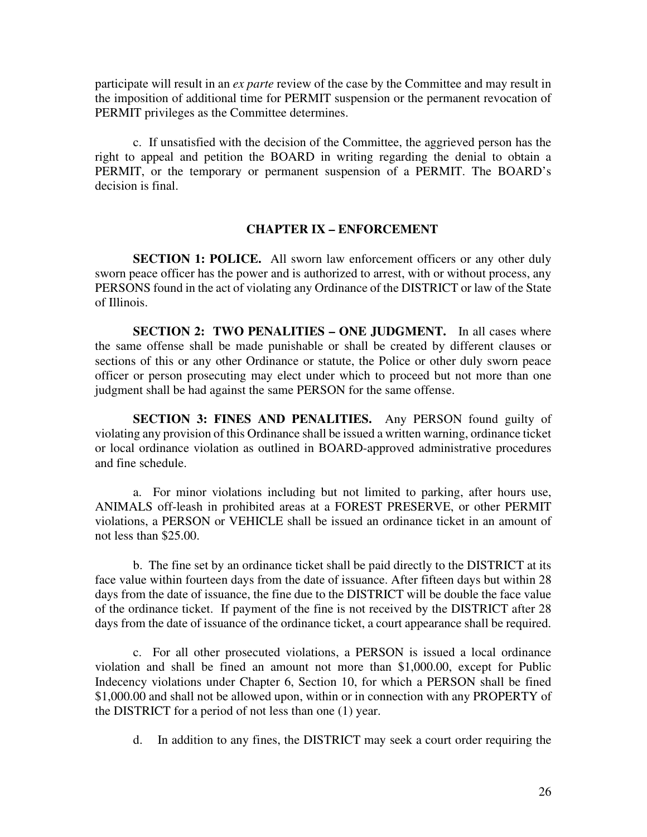participate will result in an *ex parte* review of the case by the Committee and may result in the imposition of additional time for PERMIT suspension or the permanent revocation of PERMIT privileges as the Committee determines.

c. If unsatisfied with the decision of the Committee, the aggrieved person has the right to appeal and petition the BOARD in writing regarding the denial to obtain a PERMIT, or the temporary or permanent suspension of a PERMIT. The BOARD's decision is final.

#### **CHAPTER IX – ENFORCEMENT**

**SECTION 1: POLICE.** All sworn law enforcement officers or any other duly sworn peace officer has the power and is authorized to arrest, with or without process, any PERSONS found in the act of violating any Ordinance of the DISTRICT or law of the State of Illinois.

**SECTION 2: TWO PENALITIES – ONE JUDGMENT.** In all cases where the same offense shall be made punishable or shall be created by different clauses or sections of this or any other Ordinance or statute, the Police or other duly sworn peace officer or person prosecuting may elect under which to proceed but not more than one judgment shall be had against the same PERSON for the same offense.

**SECTION 3: FINES AND PENALITIES.** Any PERSON found guilty of violating any provision of this Ordinance shall be issued a written warning, ordinance ticket or local ordinance violation as outlined in BOARD-approved administrative procedures and fine schedule.

a. For minor violations including but not limited to parking, after hours use, ANIMALS off-leash in prohibited areas at a FOREST PRESERVE, or other PERMIT violations, a PERSON or VEHICLE shall be issued an ordinance ticket in an amount of not less than \$25.00.

b. The fine set by an ordinance ticket shall be paid directly to the DISTRICT at its face value within fourteen days from the date of issuance. After fifteen days but within 28 days from the date of issuance, the fine due to the DISTRICT will be double the face value of the ordinance ticket. If payment of the fine is not received by the DISTRICT after 28 days from the date of issuance of the ordinance ticket, a court appearance shall be required.

c. For all other prosecuted violations, a PERSON is issued a local ordinance violation and shall be fined an amount not more than \$1,000.00, except for Public Indecency violations under Chapter 6, Section 10, for which a PERSON shall be fined \$1,000.00 and shall not be allowed upon, within or in connection with any PROPERTY of the DISTRICT for a period of not less than one (1) year.

d. In addition to any fines, the DISTRICT may seek a court order requiring the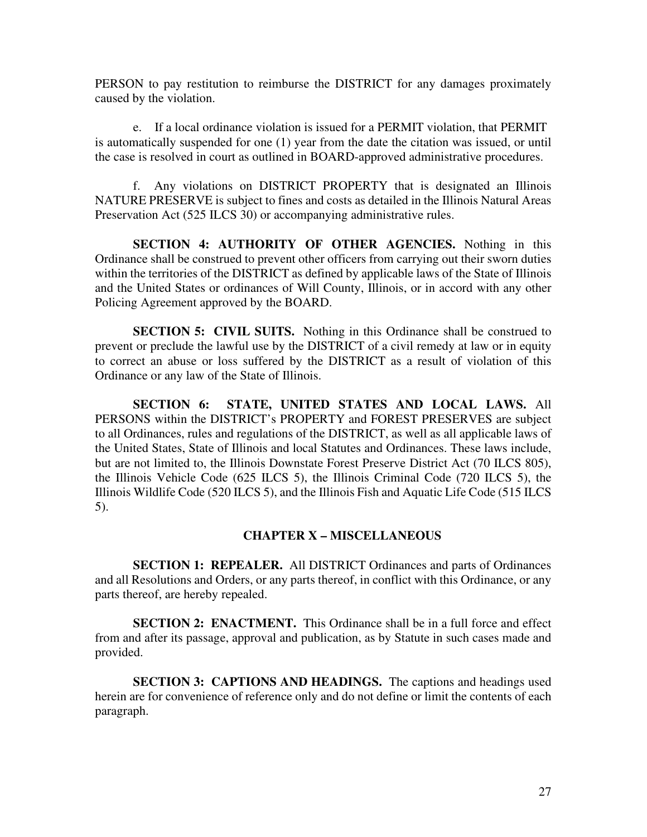PERSON to pay restitution to reimburse the DISTRICT for any damages proximately caused by the violation.

e. If a local ordinance violation is issued for a PERMIT violation, that PERMIT is automatically suspended for one (1) year from the date the citation was issued, or until the case is resolved in court as outlined in BOARD-approved administrative procedures.

f. Any violations on DISTRICT PROPERTY that is designated an Illinois NATURE PRESERVE is subject to fines and costs as detailed in the Illinois Natural Areas Preservation Act (525 ILCS 30) or accompanying administrative rules.

**SECTION 4: AUTHORITY OF OTHER AGENCIES.** Nothing in this Ordinance shall be construed to prevent other officers from carrying out their sworn duties within the territories of the DISTRICT as defined by applicable laws of the State of Illinois and the United States or ordinances of Will County, Illinois, or in accord with any other Policing Agreement approved by the BOARD.

**SECTION 5: CIVIL SUITS.** Nothing in this Ordinance shall be construed to prevent or preclude the lawful use by the DISTRICT of a civil remedy at law or in equity to correct an abuse or loss suffered by the DISTRICT as a result of violation of this Ordinance or any law of the State of Illinois.

**SECTION 6: STATE, UNITED STATES AND LOCAL LAWS.** All PERSONS within the DISTRICT's PROPERTY and FOREST PRESERVES are subject to all Ordinances, rules and regulations of the DISTRICT, as well as all applicable laws of the United States, State of Illinois and local Statutes and Ordinances. These laws include, but are not limited to, the Illinois Downstate Forest Preserve District Act (70 ILCS 805), the Illinois Vehicle Code (625 ILCS 5), the Illinois Criminal Code (720 ILCS 5), the Illinois Wildlife Code (520 ILCS 5), and the Illinois Fish and Aquatic Life Code (515 ILCS 5).

## **CHAPTER X – MISCELLANEOUS**

**SECTION 1: REPEALER.** All DISTRICT Ordinances and parts of Ordinances and all Resolutions and Orders, or any parts thereof, in conflict with this Ordinance, or any parts thereof, are hereby repealed.

**SECTION 2: ENACTMENT.** This Ordinance shall be in a full force and effect from and after its passage, approval and publication, as by Statute in such cases made and provided.

**SECTION 3: CAPTIONS AND HEADINGS.** The captions and headings used herein are for convenience of reference only and do not define or limit the contents of each paragraph.